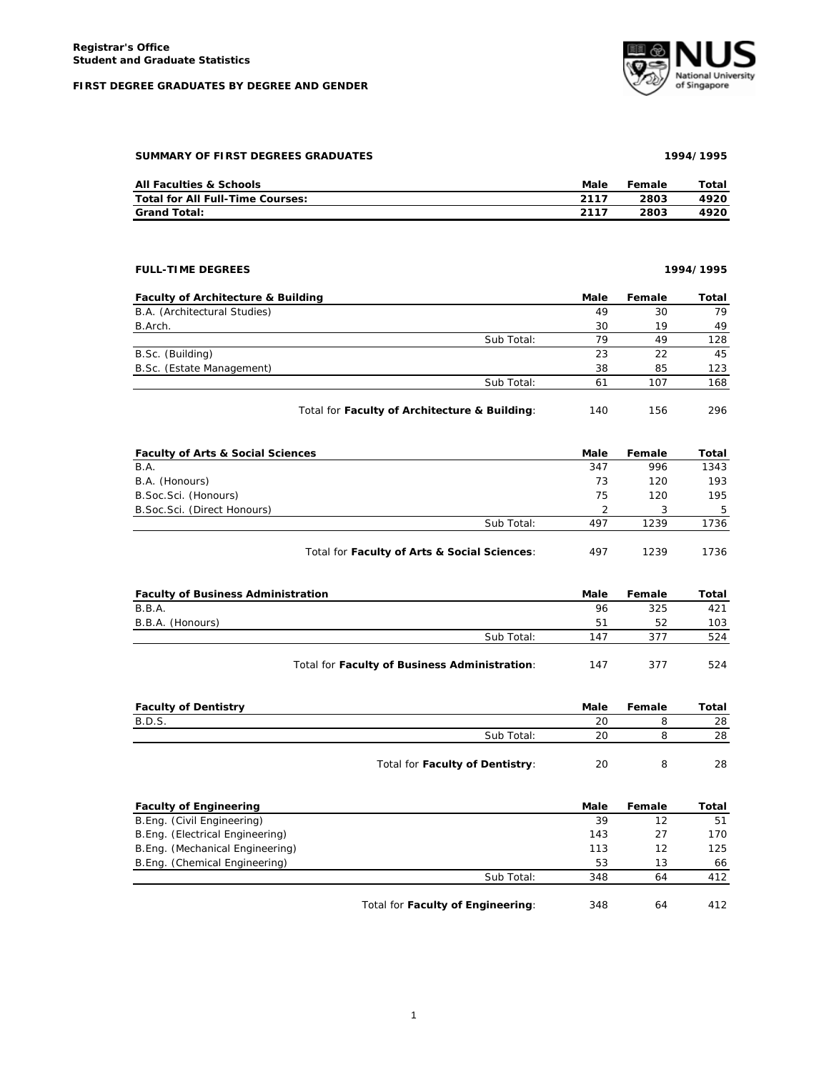## **FIRST DEGREE GRADUATES BY DEGREE AND GENDER**



| SUMMARY OF FIRST DEGREES GRADUATES      |      | 1994/1995 |       |  |  |
|-----------------------------------------|------|-----------|-------|--|--|
| <b>All Faculties &amp; Schools</b>      | Male | Female    | Total |  |  |
| <b>Total for All Full-Time Courses:</b> | 2117 | 2803      | 4920  |  |  |
| <b>Grand Total:</b>                     | 2117 | 2803      | 4920. |  |  |

| <b>FULL-TIME DEGREES</b>                      |                                               |      | 1994/1995 |       |
|-----------------------------------------------|-----------------------------------------------|------|-----------|-------|
| <b>Faculty of Architecture &amp; Building</b> |                                               | Male | Female    | Total |
| B.A. (Architectural Studies)                  |                                               | 49   | 30        | 79    |
| B.Arch.                                       |                                               | 30   | 19        | 49    |
|                                               | Sub Total:                                    | 79   | 49        | 128   |
| B.Sc. (Building)                              |                                               | 23   | 22        | 45    |
| B.Sc. (Estate Management)                     |                                               | 38   | 85        | 123   |
|                                               | Sub Total:                                    | 61   | 107       | 168   |
|                                               | Total for Faculty of Architecture & Building: | 140  | 156       | 296   |

| <b>Faculty of Arts &amp; Social Sciences</b> |                                              | Male | Female | Total |
|----------------------------------------------|----------------------------------------------|------|--------|-------|
| <b>B.A.</b>                                  |                                              | 347  | 996    | 1343  |
| B.A. (Honours)                               |                                              | 73   | 120    | 193   |
| B. Soc. Sci. (Honours)                       |                                              | 75   | 120    | 195   |
| B. Soc. Sci. (Direct Honours)                |                                              |      |        | 5     |
|                                              | Sub Total:                                   | 497  | 1239   | 1736  |
|                                              | Total for Faculty of Arts & Social Sciences: | 497  | 1239   | 1736  |

| <b>Faculty of Business Administration</b> |                                               | Male | Female | Total |
|-------------------------------------------|-----------------------------------------------|------|--------|-------|
| B.B.A.                                    |                                               | 96   | 325    | 421   |
| B.B.A. (Honours)                          |                                               | 51   | 52     | 103   |
|                                           | Sub Total:                                    | 147  | 377    | 524   |
|                                           | Total for Faculty of Business Administration: | 147  | 377    | 524   |

| <b>Faculty of Dentistry</b> |                                 | Male | Female | Total |
|-----------------------------|---------------------------------|------|--------|-------|
| B.D.S.                      |                                 | 20   |        | 28    |
|                             | Sub Total:                      | 20   |        | 28    |
|                             | Total for Faculty of Dentistry: | 20   |        | 28    |

| <b>Faculty of Engineering</b>   |                                   | Male | Female | Total |
|---------------------------------|-----------------------------------|------|--------|-------|
| B.Eng. (Civil Engineering)      |                                   | 39   | 12     | 51    |
| B.Eng. (Electrical Engineering) |                                   | 143  | 27     | 170   |
| B.Eng. (Mechanical Engineering) |                                   | 113  | 12     | 125   |
| B.Eng. (Chemical Engineering)   |                                   | 53   | 13     | 66    |
|                                 | Sub Total:                        | 348  | 64     | 412   |
|                                 | Total for Faculty of Engineering: | 348  | 64     | 412   |